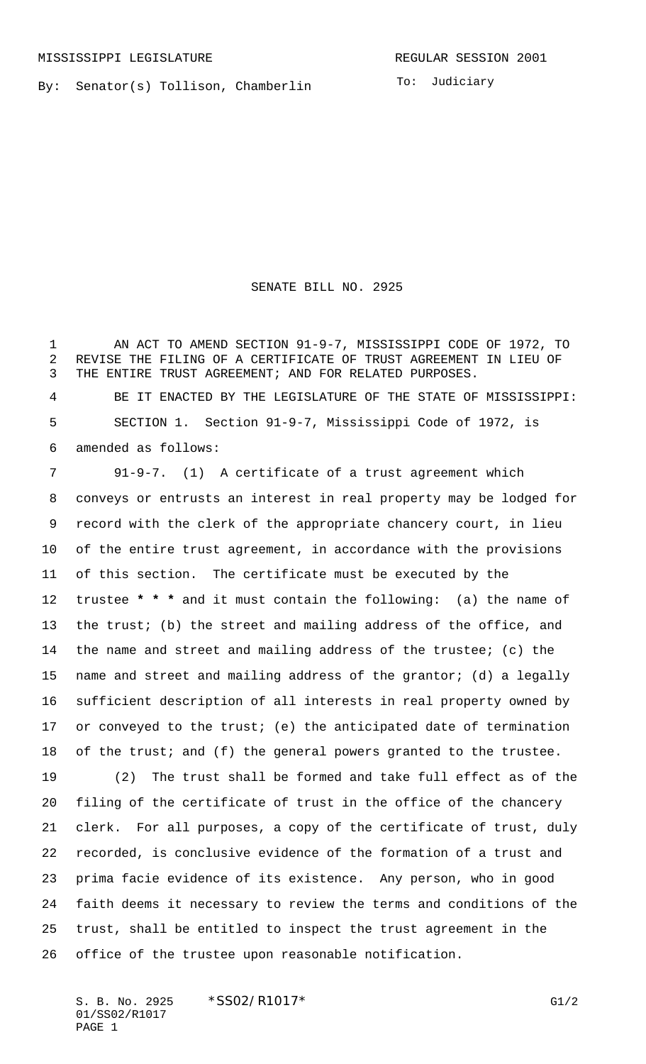By: Senator(s) Tollison, Chamberlin

To: Judiciary

SENATE BILL NO. 2925

1 AN ACT TO AMEND SECTION 91-9-7, MISSISSIPPI CODE OF 1972, TO REVISE THE FILING OF A CERTIFICATE OF TRUST AGREEMENT IN LIEU OF THE ENTIRE TRUST AGREEMENT; AND FOR RELATED PURPOSES. BE IT ENACTED BY THE LEGISLATURE OF THE STATE OF MISSISSIPPI: SECTION 1. Section 91-9-7, Mississippi Code of 1972, is amended as follows:

 91-9-7. (1) A certificate of a trust agreement which conveys or entrusts an interest in real property may be lodged for record with the clerk of the appropriate chancery court, in lieu of the entire trust agreement, in accordance with the provisions of this section. The certificate must be executed by the trustee **\* \* \*** and it must contain the following: (a) the name of the trust; (b) the street and mailing address of the office, and the name and street and mailing address of the trustee; (c) the name and street and mailing address of the grantor; (d) a legally sufficient description of all interests in real property owned by or conveyed to the trust; (e) the anticipated date of termination 18 of the trust; and (f) the general powers granted to the trustee. (2) The trust shall be formed and take full effect as of the filing of the certificate of trust in the office of the chancery clerk. For all purposes, a copy of the certificate of trust, duly recorded, is conclusive evidence of the formation of a trust and prima facie evidence of its existence. Any person, who in good faith deems it necessary to review the terms and conditions of the trust, shall be entitled to inspect the trust agreement in the office of the trustee upon reasonable notification.

S. B. No. 2925 \* SSO2/R1017\* G1/2 01/SS02/R1017 PAGE 1